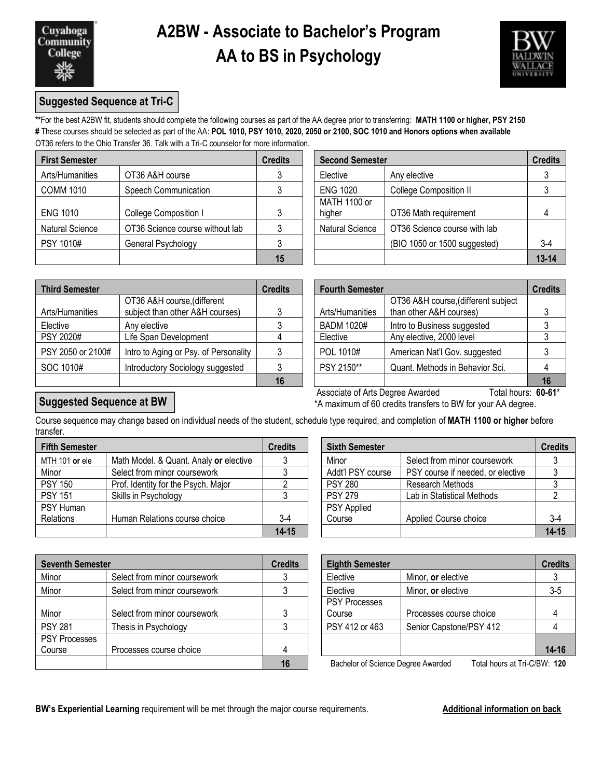# **A2BW - Associate to Bachelor's Program AA to BS in Psychology**



## **Suggested Sequence at Tri-C**

**\*\***For the best A2BW fit, students should complete the following courses as part of the AA degree prior to transferring: **MATH 1100 or higher, PSY 2150 #** These courses should be selected as part of the AA: **POL 1010, PSY 1010, 2020, 2050 or 2100, SOC 1010 and Honors options when available** OT36 refers to the Ohio Transfer 36. Talk with a Tri-C counselor for more information.

| <b>First Semester</b>  |                                 | <b>Credits</b> | <b>Second Semester</b> |                               | <b>Credits</b> |  |
|------------------------|---------------------------------|----------------|------------------------|-------------------------------|----------------|--|
| Arts/Humanities        | OT36 A&H course                 |                | Elective               | Any elective                  |                |  |
| <b>COMM 1010</b>       | Speech Communication            |                | <b>ENG 1020</b>        | <b>College Composition II</b> |                |  |
| <b>ENG 1010</b>        | College Composition I           |                | MATH 1100 or<br>higher | OT36 Math requirement         |                |  |
| <b>Natural Science</b> | OT36 Science course without lab |                | <b>Natural Science</b> | OT36 Science course with lab  |                |  |
| PSY 1010#              | General Psychology              |                |                        | (BIO 1050 or 1500 suggested)  | $3-4$          |  |
|                        |                                 | 15             |                        |                               | $13 - 14$      |  |

| dits           | <b>Second Semester</b> | <b>Credits</b>               |           |
|----------------|------------------------|------------------------------|-----------|
| $\mathfrak{3}$ | Elective               | Any elective                 |           |
| $\mathfrak{3}$ | <b>ENG 1020</b>        | College Composition II       |           |
| 3              | MATH 1100 or<br>higher | OT36 Math requirement        |           |
| $\mathbf{3}$   | <b>Natural Science</b> | OT36 Science course with lab |           |
| $\mathbf{3}$   |                        | (BIO 1050 or 1500 suggested) | $3-4$     |
| 15             |                        |                              | $13 - 14$ |

| <b>Third Semester</b> |                                       | <b>Credits</b> | <b>Fourth Semester</b> |                                     | <b>Credits</b> |
|-----------------------|---------------------------------------|----------------|------------------------|-------------------------------------|----------------|
|                       | OT36 A&H course, (different           |                |                        | OT36 A&H course, (different subject |                |
| Arts/Humanities       | subject than other A&H courses)       |                | Arts/Humanities        | than other A&H courses)             |                |
| Elective              | Any elective                          |                | <b>BADM 1020#</b>      | Intro to Business suggested         |                |
| PSY 2020#             | Life Span Development                 |                | Elective               | Any elective, 2000 level            |                |
| PSY 2050 or 2100#     | Intro to Aging or Psy. of Personality |                | POL 1010#              | American Nat'l Gov. suggested       |                |
| SOC 1010#             | Introductory Sociology suggested      |                | PSY 2150**             | Quant. Methods in Behavior Sci.     |                |
|                       |                                       | 16             |                        |                                     | 16             |

| dits           | <b>Fourth Semester</b>           |                                     |    |
|----------------|----------------------------------|-------------------------------------|----|
|                |                                  | OT36 A&H course, (different subject |    |
| 3              | Arts/Humanities                  | than other A&H courses)             |    |
| 3              | <b>BADM 1020#</b>                | Intro to Business suggested         |    |
| $\overline{4}$ | Elective                         | Any elective, 2000 level            |    |
| 3              | POL 1010#                        | American Nat'l Gov. suggested       |    |
| $\mathbf{3}$   | PSY 2150**                       | Quant. Methods in Behavior Sci.     |    |
| 16             |                                  |                                     | 16 |
|                | Associate of Arts Degree Awarded | Total hours: <b>60-61*</b>          |    |

### **Suggested Sequence at BW**

Associate of Arts Degree Awarded Total hours: 60-61<sup>\*</sup> \*A maximum of 60 credits transfers to BW for your AA degree.

Course sequence may change based on individual needs of the student, schedule type required, and completion of **MATH 1100 or higher** before transfer.

| <b>Fifth Semester</b> |                                        | <b>Credits</b> | <b>Sixth Semester</b> |                                   | <b>Credits</b> |  |
|-----------------------|----------------------------------------|----------------|-----------------------|-----------------------------------|----------------|--|
| MTH 101 or ele        | Math Model. & Quant. Analy or elective |                | Minor                 | Select from minor coursework      |                |  |
| Minor                 | Select from minor coursework           |                | Addt'l PSY course     | PSY course if needed, or elective |                |  |
| <b>PSY 150</b>        | Prof. Identity for the Psych. Major    |                | <b>PSY 280</b>        | Research Methods                  |                |  |
| <b>PSY 151</b>        | Skills in Psychology                   |                | <b>PSY 279</b>        | Lab in Statistical Methods        |                |  |
| PSY Human             |                                        |                | <b>PSY Applied</b>    |                                   |                |  |
| Relations             | Human Relations course choice          | 3-4            | Course                | Applied Course choice             | $3-4$          |  |
|                       |                                        | $14 - 15$      |                       |                                   | $14 - 15$      |  |

| redits    | <b>Sixth Semester</b> |                                   | <b>Credits</b> |
|-----------|-----------------------|-----------------------------------|----------------|
| 3         | Minor                 | Select from minor coursework      |                |
| 3         | Addt'l PSY course     | PSY course if needed, or elective |                |
|           | <b>PSY 280</b>        | Research Methods                  |                |
| 3         | <b>PSY 279</b>        | Lab in Statistical Methods        |                |
|           | PSY Applied           |                                   |                |
| $3-4$     | Course                | Applied Course choice             | $3 - 4$        |
| $14 - 15$ |                       |                                   | $14 - 15$      |

| <b>Seventh Semester</b> |                              | <b>Credits</b> | <b>Eighth Semester</b>                                             |                         | <b>Credits</b> |  |
|-------------------------|------------------------------|----------------|--------------------------------------------------------------------|-------------------------|----------------|--|
| Minor                   | Select from minor coursework |                | Elective                                                           | Minor, or elective      |                |  |
| Minor                   | Select from minor coursework |                | Elective                                                           | Minor, or elective      | $3 - 5$        |  |
|                         |                              |                | <b>PSY Processes</b>                                               |                         |                |  |
| Minor                   | Select from minor coursework |                | Course                                                             | Processes course choice |                |  |
| <b>PSY 281</b>          | Thesis in Psychology         |                | PSY 412 or 463                                                     | Senior Capstone/PSY 412 |                |  |
| <b>PSY Processes</b>    |                              |                |                                                                    |                         |                |  |
| Course                  | Processes course choice      |                |                                                                    |                         | $14 - 16$      |  |
|                         |                              |                | Bachelor of Science Degree Awarded<br>Total hours at Tri-C/BW: 120 |                         |                |  |

| <b>Eighth Semester</b>                  |                                                            | <b>Credits</b> |
|-----------------------------------------|------------------------------------------------------------|----------------|
| Elective                                | Minor, or elective                                         |                |
| Elective                                | Minor, or elective                                         | $3 - 5$        |
| <b>PSY Processes</b>                    |                                                            |                |
| Course                                  | Processes course choice                                    |                |
| PSY 412 or 463                          | Senior Capstone/PSY 412                                    |                |
|                                         |                                                            |                |
|                                         |                                                            | $14 - 16$      |
| Deskelse of Ostenese Dessees Associated | $T - 1 - 1$ $L = 1$ $L = 1$ $T - 1$ $\Omega$ $D$ $M$ . 400 |                |

**16** Bachelor of Science Degree Awarded Total hours at Tri-C/BW: **120**

**BW's Experiential Learning** requirement will be met through the major course requirements. **Additional information on back**